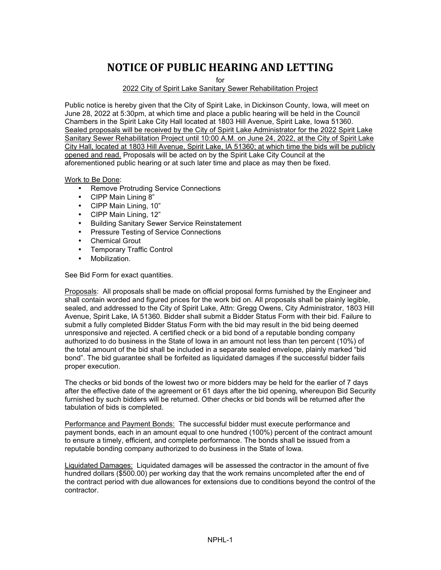## **NOTICE OF PUBLIC HEARING AND LETTING**

for

2022 City of Spirit Lake Sanitary Sewer Rehabilitation Project

Public notice is hereby given that the City of Spirit Lake, in Dickinson County, Iowa, will meet on June 28, 2022 at 5:30pm, at which time and place a public hearing will be held in the Council Chambers in the Spirit Lake City Hall located at 1803 Hill Avenue, Spirit Lake, Iowa 51360. Sealed proposals will be received by the City of Spirit Lake Administrator for the 2022 Spirit Lake Sanitary Sewer Rehabilitation Project until 10:00 A.M. on June 24, 2022, at the City of Spirit Lake City Hall, located at 1803 Hill Avenue, Spirit Lake, IA 51360; at which time the bids will be publicly opened and read. Proposals will be acted on by the Spirit Lake City Council at the aforementioned public hearing or at such later time and place as may then be fixed.

Work to Be Done:

- Remove Protruding Service Connections
- CIPP Main Lining 8"
- CIPP Main Lining, 10"
- CIPP Main Lining, 12"
- Building Sanitary Sewer Service Reinstatement
- Pressure Testing of Service Connections
- Chemical Grout
- Temporary Traffic Control
- Mobilization.

See Bid Form for exact quantities.

Proposals: All proposals shall be made on official proposal forms furnished by the Engineer and shall contain worded and figured prices for the work bid on. All proposals shall be plainly legible, sealed, and addressed to the City of Spirit Lake, Attn: Gregg Owens, City Administrator, 1803 Hill Avenue, Spirit Lake, IA 51360. Bidder shall submit a Bidder Status Form with their bid. Failure to submit a fully completed Bidder Status Form with the bid may result in the bid being deemed unresponsive and rejected. A certified check or a bid bond of a reputable bonding company authorized to do business in the State of Iowa in an amount not less than ten percent (10%) of the total amount of the bid shall be included in a separate sealed envelope, plainly marked "bid bond". The bid guarantee shall be forfeited as liquidated damages if the successful bidder fails proper execution.

The checks or bid bonds of the lowest two or more bidders may be held for the earlier of 7 days after the effective date of the agreement or 61 days after the bid opening, whereupon Bid Security furnished by such bidders will be returned. Other checks or bid bonds will be returned after the tabulation of bids is completed.

Performance and Payment Bonds: The successful bidder must execute performance and payment bonds, each in an amount equal to one hundred (100%) percent of the contract amount to ensure a timely, efficient, and complete performance. The bonds shall be issued from a reputable bonding company authorized to do business in the State of Iowa.

Liquidated Damages: Liquidated damages will be assessed the contractor in the amount of five hundred dollars (\$500.00) per working day that the work remains uncompleted after the end of the contract period with due allowances for extensions due to conditions beyond the control of the contractor.